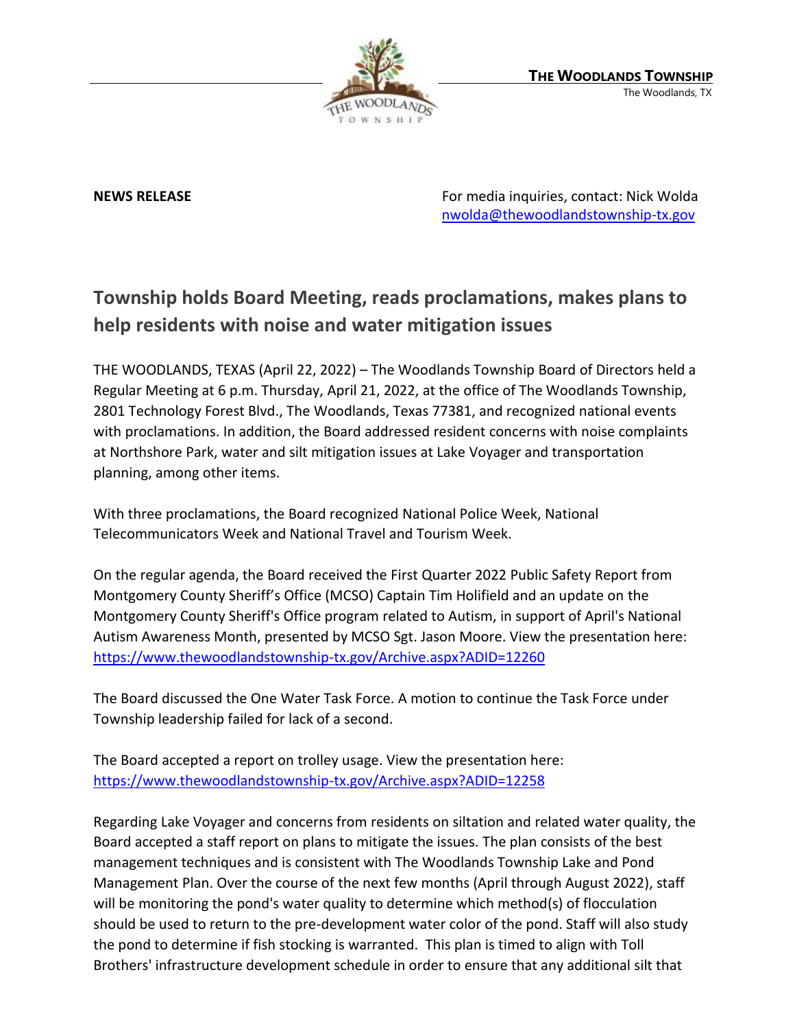

**NEWS RELEASE** For media inquiries, contact: Nick Wolda **NEWS** RELEASE [nwolda@thewoodlandstownship-tx.gov](mailto:nwolda@thewoodlandstownship-tx.gov)

## **Township holds Board Meeting, reads proclamations, makes plans to help residents with noise and water mitigation issues**

THE WOODLANDS, TEXAS (April 22, 2022) – The Woodlands Township Board of Directors held a Regular Meeting at 6 p.m. Thursday, April 21, 2022, at the office of The Woodlands Township, 2801 Technology Forest Blvd., The Woodlands, Texas 77381, and recognized national events with proclamations. In addition, the Board addressed resident concerns with noise complaints at Northshore Park, water and silt mitigation issues at Lake Voyager and transportation planning, among other items.

With three proclamations, the Board recognized National Police Week, National Telecommunicators Week and National Travel and Tourism Week.

On the regular agenda, the Board received the First Quarter 2022 Public Safety Report from Montgomery County Sheriff's Office (MCSO) Captain Tim Holifield and an update on the Montgomery County Sheriff's Office program related to Autism, in support of April's National Autism Awareness Month, presented by MCSO Sgt. Jason Moore. View the presentation here: <https://www.thewoodlandstownship-tx.gov/Archive.aspx?ADID=12260>

The Board discussed the One Water Task Force. A motion to continue the Task Force under Township leadership failed for lack of a second.

The Board accepted a report on trolley usage. View the presentation here: <https://www.thewoodlandstownship-tx.gov/Archive.aspx?ADID=12258>

Regarding Lake Voyager and concerns from residents on siltation and related water quality, the Board accepted a staff report on plans to mitigate the issues. The plan consists of the best management techniques and is consistent with The Woodlands Township Lake and Pond Management Plan. Over the course of the next few months (April through August 2022), staff will be monitoring the pond's water quality to determine which method(s) of flocculation should be used to return to the pre-development water color of the pond. Staff will also study the pond to determine if fish stocking is warranted. This plan is timed to align with Toll Brothers' infrastructure development schedule in order to ensure that any additional silt that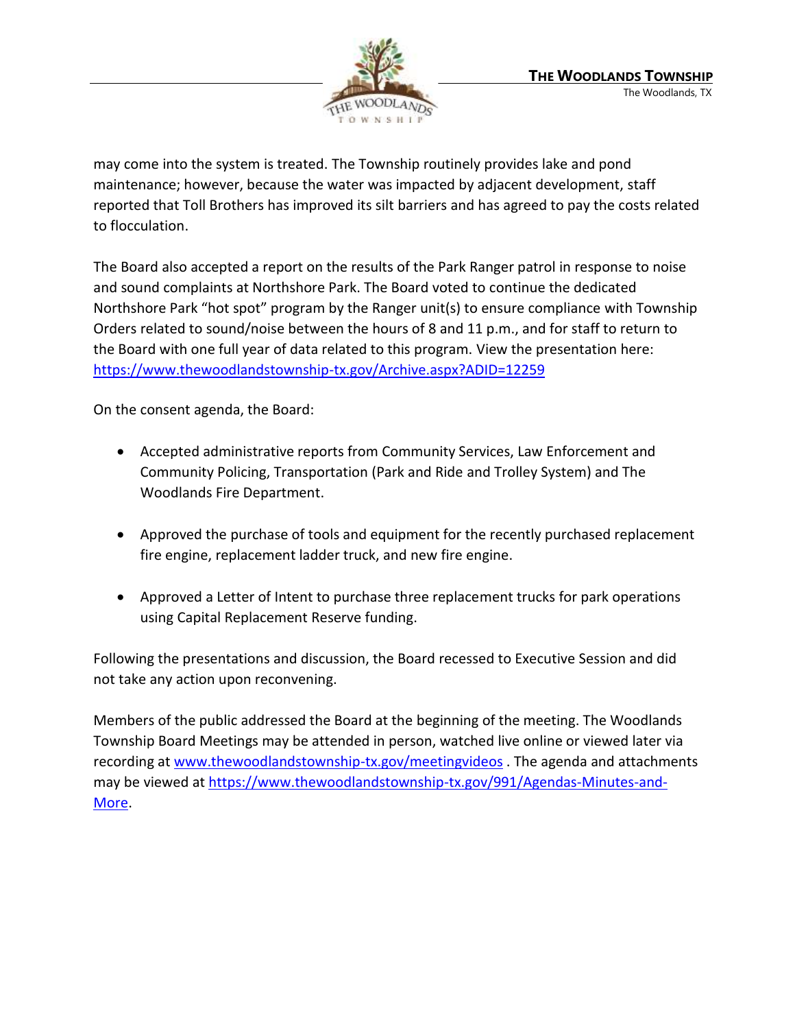

may come into the system is treated. The Township routinely provides lake and pond maintenance; however, because the water was impacted by adjacent development, staff reported that Toll Brothers has improved its silt barriers and has agreed to pay the costs related to flocculation.

The Board also accepted a report on the results of the Park Ranger patrol in response to noise and sound complaints at Northshore Park. The Board voted to continue the dedicated Northshore Park "hot spot" program by the Ranger unit(s) to ensure compliance with Township Orders related to sound/noise between the hours of 8 and 11 p.m., and for staff to return to the Board with one full year of data related to this program. View the presentation here: <https://www.thewoodlandstownship-tx.gov/Archive.aspx?ADID=12259>

On the consent agenda, the Board:

- Accepted administrative reports from Community Services, Law Enforcement and Community Policing, Transportation (Park and Ride and Trolley System) and The Woodlands Fire Department.
- Approved the purchase of tools and equipment for the recently purchased replacement fire engine, replacement ladder truck, and new fire engine.
- Approved a Letter of Intent to purchase three replacement trucks for park operations using Capital Replacement Reserve funding.

Following the presentations and discussion, the Board recessed to Executive Session and did not take any action upon reconvening.

Members of the public addressed the Board at the beginning of the meeting. The Woodlands Township Board Meetings may be attended in person, watched live online or viewed later via recording at [www.thewoodlandstownship-tx.gov/meetingvideos](http://www.thewoodlandstownship-tx.gov/meetingvideos) . The agenda and attachments may be viewed at [https://www.thewoodlandstownship-tx.gov/991/Agendas-Minutes-and-](https://www.thewoodlandstownship-tx.gov/991/Agendas-Minutes-and-More)[More.](https://www.thewoodlandstownship-tx.gov/991/Agendas-Minutes-and-More)